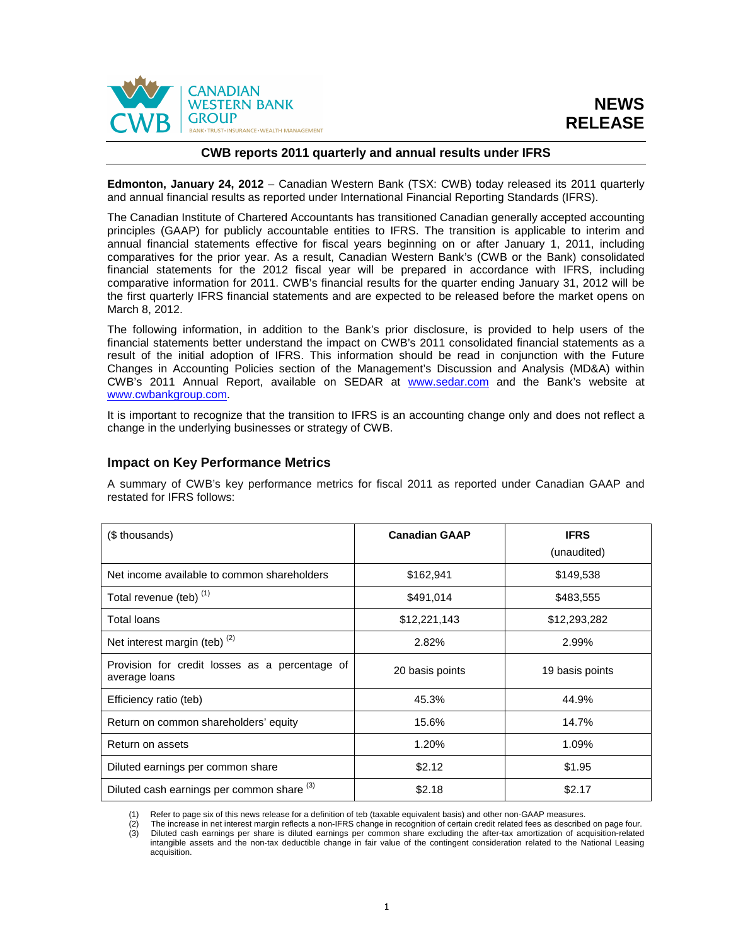

### **CWB reports 2011 quarterly and annual results under IFRS**

**Edmonton, January 24, 2012** – Canadian Western Bank (TSX: CWB) today released its 2011 quarterly and annual financial results as reported under International Financial Reporting Standards (IFRS).

The Canadian Institute of Chartered Accountants has transitioned Canadian generally accepted accounting principles (GAAP) for publicly accountable entities to IFRS. The transition is applicable to interim and annual financial statements effective for fiscal years beginning on or after January 1, 2011, including comparatives for the prior year. As a result, Canadian Western Bank's (CWB or the Bank) consolidated financial statements for the 2012 fiscal year will be prepared in accordance with IFRS, including comparative information for 2011. CWB's financial results for the quarter ending January 31, 2012 will be the first quarterly IFRS financial statements and are expected to be released before the market opens on March 8, 2012.

The following information, in addition to the Bank's prior disclosure, is provided to help users of the financial statements better understand the impact on CWB's 2011 consolidated financial statements as a result of the initial adoption of IFRS. This information should be read in conjunction with the Future Changes in Accounting Policies section of the Management's Discussion and Analysis (MD&A) within CWB's 2011 Annual Report, available on SEDAR at www.sedar.com and the Bank's website at www.cwbankgroup.com.

It is important to recognize that the transition to IFRS is an accounting change only and does not reflect a change in the underlying businesses or strategy of CWB.

### **Impact on Key Performance Metrics**

A summary of CWB's key performance metrics for fiscal 2011 as reported under Canadian GAAP and restated for IFRS follows:

| (\$ thousands)                                                  | <b>Canadian GAAP</b> | <b>IFRS</b>     |
|-----------------------------------------------------------------|----------------------|-----------------|
|                                                                 |                      | (unaudited)     |
| Net income available to common shareholders                     | \$162,941            | \$149,538       |
| Total revenue (teb) <sup>(1)</sup>                              | \$491,014            | \$483,555       |
| Total loans                                                     | \$12,221,143         | \$12,293,282    |
| Net interest margin (teb) $(2)$                                 | 2.82%                | 2.99%           |
| Provision for credit losses as a percentage of<br>average loans | 20 basis points      | 19 basis points |
| Efficiency ratio (teb)                                          | 45.3%                | 44.9%           |
| Return on common shareholders' equity                           | 15.6%                | 14.7%           |
| Return on assets                                                | 1.20%                | 1.09%           |
| Diluted earnings per common share                               | \$2.12               | \$1.95          |
| Diluted cash earnings per common share (3)                      | \$2.18               | \$2.17          |

(1) Refer to page six of this news release for a definition of teb (taxable equivalent basis) and other non-GAAP measures.

(2) The increase in net interest margin reflects a non-IFRS change in recognition of certain credit related fees as described on page four. (3) Diluted cash earnings per share is diluted earnings per common share excluding the after-tax amortization of acquisition-related intangible assets and the non-tax deductible change in fair value of the contingent consideration related to the National Leasing acquisition.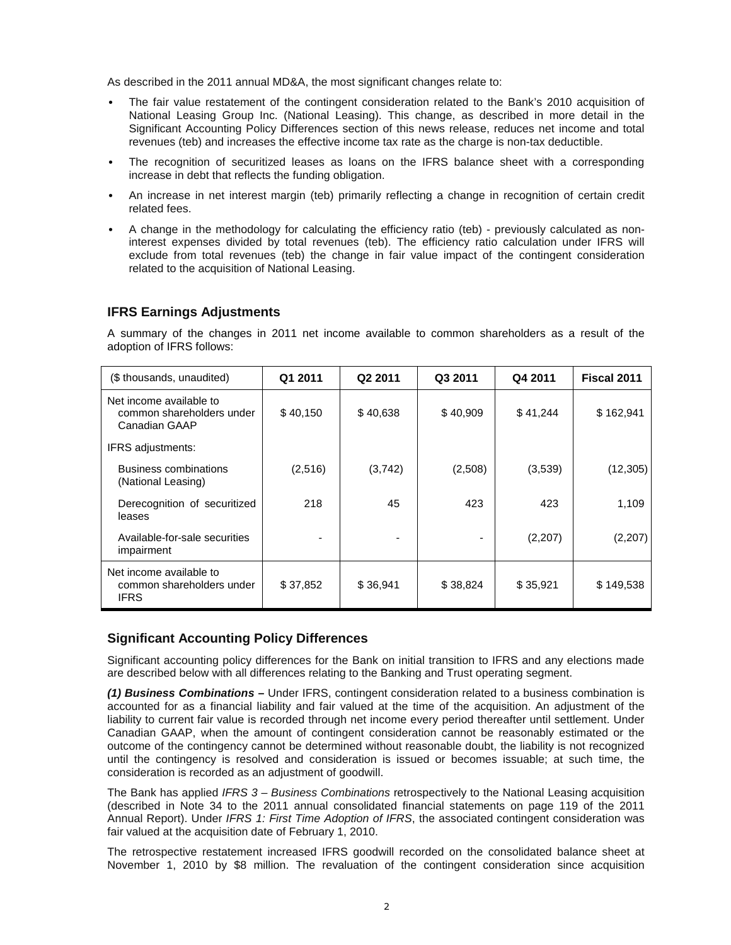As described in the 2011 annual MD&A, the most significant changes relate to:

- The fair value restatement of the contingent consideration related to the Bank's 2010 acquisition of National Leasing Group Inc. (National Leasing). This change, as described in more detail in the Significant Accounting Policy Differences section of this news release, reduces net income and total revenues (teb) and increases the effective income tax rate as the charge is non-tax deductible.
- The recognition of securitized leases as loans on the IFRS balance sheet with a corresponding increase in debt that reflects the funding obligation.
- An increase in net interest margin (teb) primarily reflecting a change in recognition of certain credit related fees.
- A change in the methodology for calculating the efficiency ratio (teb) previously calculated as noninterest expenses divided by total revenues (teb). The efficiency ratio calculation under IFRS will exclude from total revenues (teb) the change in fair value impact of the contingent consideration related to the acquisition of National Leasing.

## **IFRS Earnings Adjustments**

A summary of the changes in 2011 net income available to common shareholders as a result of the adoption of IFRS follows:

| (\$ thousands, unaudited)                                             | Q1 2011  | Q2 2011  | Q3 2011  | Q4 2011  | Fiscal 2011 |
|-----------------------------------------------------------------------|----------|----------|----------|----------|-------------|
| Net income available to<br>common shareholders under<br>Canadian GAAP | \$40,150 | \$40,638 | \$40,909 | \$41,244 | \$162,941   |
| IFRS adjustments:                                                     |          |          |          |          |             |
| Business combinations<br>(National Leasing)                           | (2,516)  | (3,742)  | (2,508)  | (3,539)  | (12, 305)   |
| Derecognition of securitized<br>leases                                | 218      | 45       | 423      | 423      | 1,109       |
| Available-for-sale securities<br>impairment                           |          | ۰        |          | (2, 207) | (2, 207)    |
| Net income available to<br>common shareholders under<br><b>IFRS</b>   | \$37,852 | \$36,941 | \$38,824 | \$35,921 | \$149,538   |

## **Significant Accounting Policy Differences**

Significant accounting policy differences for the Bank on initial transition to IFRS and any elections made are described below with all differences relating to the Banking and Trust operating segment.

**(1) Business Combinations –** Under IFRS, contingent consideration related to a business combination is accounted for as a financial liability and fair valued at the time of the acquisition. An adjustment of the liability to current fair value is recorded through net income every period thereafter until settlement. Under Canadian GAAP, when the amount of contingent consideration cannot be reasonably estimated or the outcome of the contingency cannot be determined without reasonable doubt, the liability is not recognized until the contingency is resolved and consideration is issued or becomes issuable; at such time, the consideration is recorded as an adjustment of goodwill.

The Bank has applied IFRS  $3$  – Business Combinations retrospectively to the National Leasing acquisition (described in Note 34 to the 2011 annual consolidated financial statements on page 119 of the 2011 Annual Report). Under IFRS 1: First Time Adoption of IFRS, the associated contingent consideration was fair valued at the acquisition date of February 1, 2010.

The retrospective restatement increased IFRS goodwill recorded on the consolidated balance sheet at November 1, 2010 by \$8 million. The revaluation of the contingent consideration since acquisition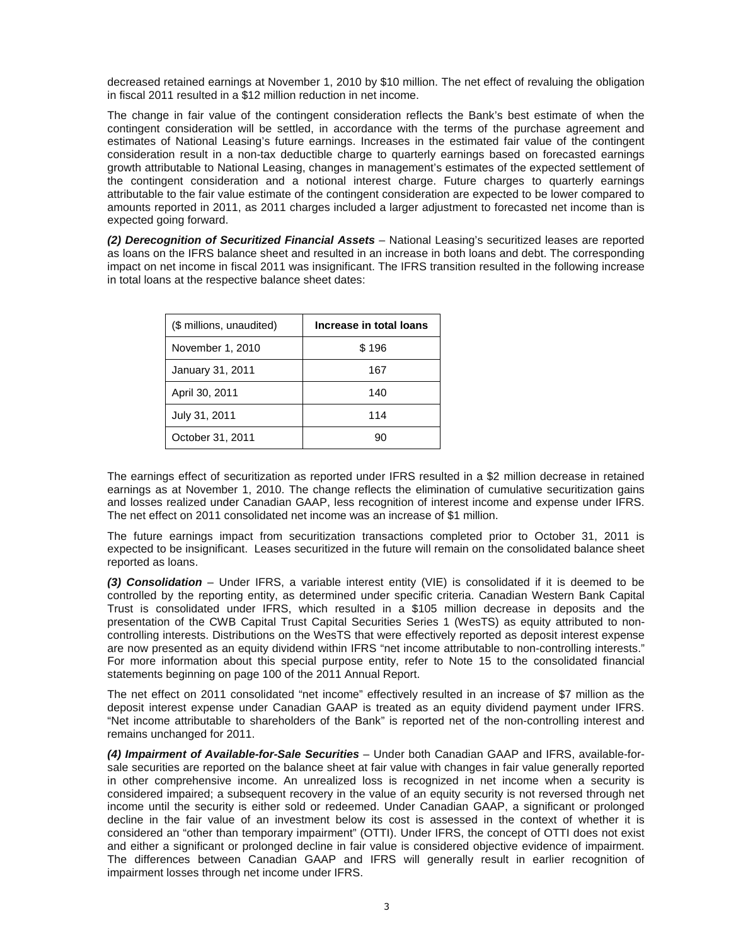decreased retained earnings at November 1, 2010 by \$10 million. The net effect of revaluing the obligation in fiscal 2011 resulted in a \$12 million reduction in net income.

The change in fair value of the contingent consideration reflects the Bank's best estimate of when the contingent consideration will be settled, in accordance with the terms of the purchase agreement and estimates of National Leasing's future earnings. Increases in the estimated fair value of the contingent consideration result in a non-tax deductible charge to quarterly earnings based on forecasted earnings growth attributable to National Leasing, changes in management's estimates of the expected settlement of the contingent consideration and a notional interest charge. Future charges to quarterly earnings attributable to the fair value estimate of the contingent consideration are expected to be lower compared to amounts reported in 2011, as 2011 charges included a larger adjustment to forecasted net income than is expected going forward.

**(2) Derecognition of Securitized Financial Assets** – National Leasing's securitized leases are reported as loans on the IFRS balance sheet and resulted in an increase in both loans and debt. The corresponding impact on net income in fiscal 2011 was insignificant. The IFRS transition resulted in the following increase in total loans at the respective balance sheet dates:

| (\$ millions, unaudited) | Increase in total loans |
|--------------------------|-------------------------|
| November 1, 2010         | \$196                   |
| January 31, 2011         | 167                     |
| April 30, 2011           | 140                     |
| July 31, 2011            | 114                     |
| October 31, 2011         | 90                      |

The earnings effect of securitization as reported under IFRS resulted in a \$2 million decrease in retained earnings as at November 1, 2010. The change reflects the elimination of cumulative securitization gains and losses realized under Canadian GAAP, less recognition of interest income and expense under IFRS. The net effect on 2011 consolidated net income was an increase of \$1 million.

The future earnings impact from securitization transactions completed prior to October 31, 2011 is expected to be insignificant. Leases securitized in the future will remain on the consolidated balance sheet reported as loans.

**(3) Consolidation** – Under IFRS, a variable interest entity (VIE) is consolidated if it is deemed to be controlled by the reporting entity, as determined under specific criteria. Canadian Western Bank Capital Trust is consolidated under IFRS, which resulted in a \$105 million decrease in deposits and the presentation of the CWB Capital Trust Capital Securities Series 1 (WesTS) as equity attributed to noncontrolling interests. Distributions on the WesTS that were effectively reported as deposit interest expense are now presented as an equity dividend within IFRS "net income attributable to non-controlling interests." For more information about this special purpose entity, refer to Note 15 to the consolidated financial statements beginning on page 100 of the 2011 Annual Report.

The net effect on 2011 consolidated "net income" effectively resulted in an increase of \$7 million as the deposit interest expense under Canadian GAAP is treated as an equity dividend payment under IFRS. "Net income attributable to shareholders of the Bank" is reported net of the non-controlling interest and remains unchanged for 2011.

**(4) Impairment of Available-for-Sale Securities** – Under both Canadian GAAP and IFRS, available-forsale securities are reported on the balance sheet at fair value with changes in fair value generally reported in other comprehensive income. An unrealized loss is recognized in net income when a security is considered impaired; a subsequent recovery in the value of an equity security is not reversed through net income until the security is either sold or redeemed. Under Canadian GAAP, a significant or prolonged decline in the fair value of an investment below its cost is assessed in the context of whether it is considered an "other than temporary impairment" (OTTI). Under IFRS, the concept of OTTI does not exist and either a significant or prolonged decline in fair value is considered objective evidence of impairment. The differences between Canadian GAAP and IFRS will generally result in earlier recognition of impairment losses through net income under IFRS.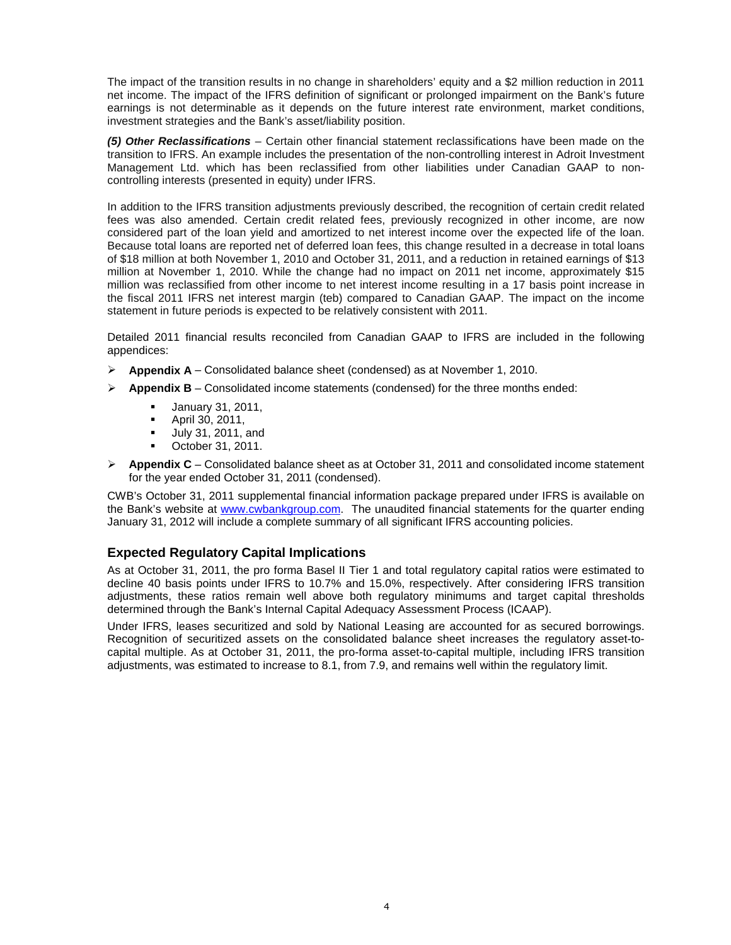The impact of the transition results in no change in shareholders' equity and a \$2 million reduction in 2011 net income. The impact of the IFRS definition of significant or prolonged impairment on the Bank's future earnings is not determinable as it depends on the future interest rate environment, market conditions, investment strategies and the Bank's asset/liability position.

**(5) Other Reclassifications** – Certain other financial statement reclassifications have been made on the transition to IFRS. An example includes the presentation of the non-controlling interest in Adroit Investment Management Ltd. which has been reclassified from other liabilities under Canadian GAAP to noncontrolling interests (presented in equity) under IFRS.

In addition to the IFRS transition adjustments previously described, the recognition of certain credit related fees was also amended. Certain credit related fees, previously recognized in other income, are now considered part of the loan yield and amortized to net interest income over the expected life of the loan. Because total loans are reported net of deferred loan fees, this change resulted in a decrease in total loans of \$18 million at both November 1, 2010 and October 31, 2011, and a reduction in retained earnings of \$13 million at November 1, 2010. While the change had no impact on 2011 net income, approximately \$15 million was reclassified from other income to net interest income resulting in a 17 basis point increase in the fiscal 2011 IFRS net interest margin (teb) compared to Canadian GAAP. The impact on the income statement in future periods is expected to be relatively consistent with 2011.

Detailed 2011 financial results reconciled from Canadian GAAP to IFRS are included in the following appendices:

- **Appendix A** Consolidated balance sheet (condensed) as at November 1, 2010.
- **Appendix B** Consolidated income statements (condensed) for the three months ended:
	- -January 31, 2011,
	- -April 30, 2011,
	- -July 31, 2011, and
	- -October 31, 2011.

 **Appendix C** – Consolidated balance sheet as at October 31, 2011 and consolidated income statement for the year ended October 31, 2011 (condensed).

CWB's October 31, 2011 supplemental financial information package prepared under IFRS is available on the Bank's website at www.cwbankgroup.com. The unaudited financial statements for the quarter ending January 31, 2012 will include a complete summary of all significant IFRS accounting policies.

## **Expected Regulatory Capital Implications**

As at October 31, 2011, the pro forma Basel II Tier 1 and total regulatory capital ratios were estimated to decline 40 basis points under IFRS to 10.7% and 15.0%, respectively. After considering IFRS transition adjustments, these ratios remain well above both regulatory minimums and target capital thresholds determined through the Bank's Internal Capital Adequacy Assessment Process (ICAAP).

Under IFRS, leases securitized and sold by National Leasing are accounted for as secured borrowings. Recognition of securitized assets on the consolidated balance sheet increases the regulatory asset-tocapital multiple. As at October 31, 2011, the pro-forma asset-to-capital multiple, including IFRS transition adjustments, was estimated to increase to 8.1, from 7.9, and remains well within the regulatory limit.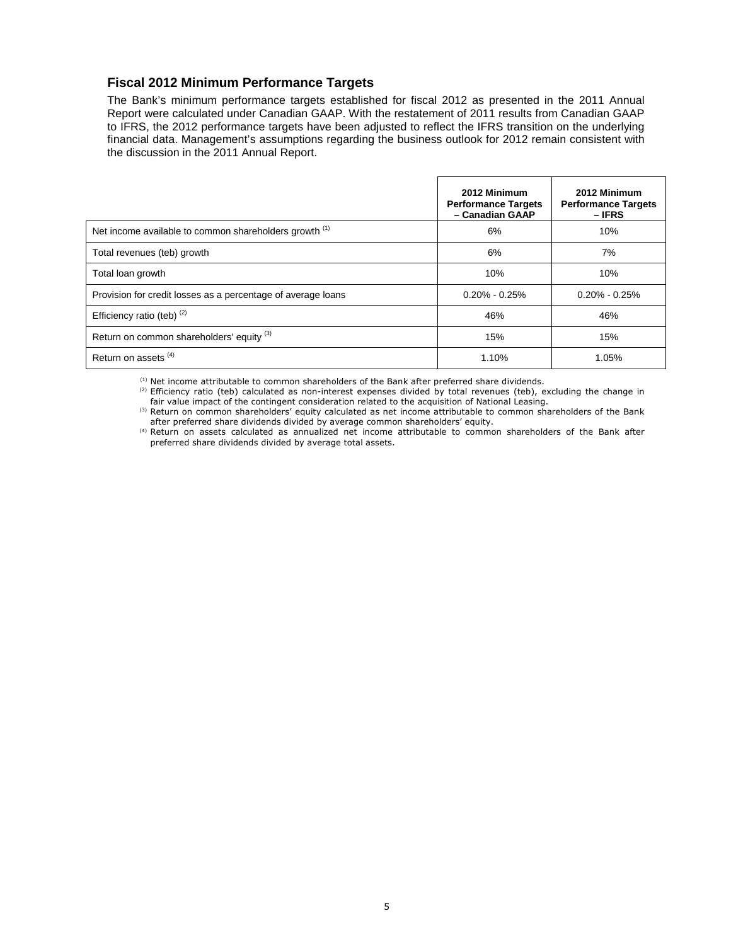## **Fiscal 2012 Minimum Performance Targets**

The Bank's minimum performance targets established for fiscal 2012 as presented in the 2011 Annual Report were calculated under Canadian GAAP. With the restatement of 2011 results from Canadian GAAP to IFRS, the 2012 performance targets have been adjusted to reflect the IFRS transition on the underlying financial data. Management's assumptions regarding the business outlook for 2012 remain consistent with the discussion in the 2011 Annual Report.

|                                                              | 2012 Minimum<br><b>Performance Targets</b><br>- Canadian GAAP | 2012 Minimum<br><b>Performance Targets</b><br>$-IFRS$ |
|--------------------------------------------------------------|---------------------------------------------------------------|-------------------------------------------------------|
| Net income available to common shareholders growth (1)       | 6%                                                            | 10%                                                   |
| Total revenues (teb) growth                                  | 6%                                                            | 7%                                                    |
| Total loan growth                                            | 10%                                                           | 10%                                                   |
| Provision for credit losses as a percentage of average loans | $0.20\% - 0.25\%$                                             | $0.20\% - 0.25\%$                                     |
| Efficiency ratio (teb) (2)                                   | 46%                                                           | 46%                                                   |
| Return on common shareholders' equity (3)                    | 15%                                                           | 15%                                                   |
| Return on assets <sup>(4)</sup>                              | 1.10%                                                         | 1.05%                                                 |

 $<sup>(1)</sup>$  Net income attributable to common shareholders of the Bank after preferred share dividends.</sup>

(2) Efficiency ratio (teb) calculated as non-interest expenses divided by total revenues (teb), excluding the change in fair value impact of the contingent consideration related to the acquisition of National Leasing.

(3) Return on common shareholders' equity calculated as net income attributable to common shareholders of the Bank after preferred share dividends divided by average common shareholders' equity.

(4) Return on assets calculated as annualized net income attributable to common shareholders of the Bank after preferred share dividends divided by average total assets.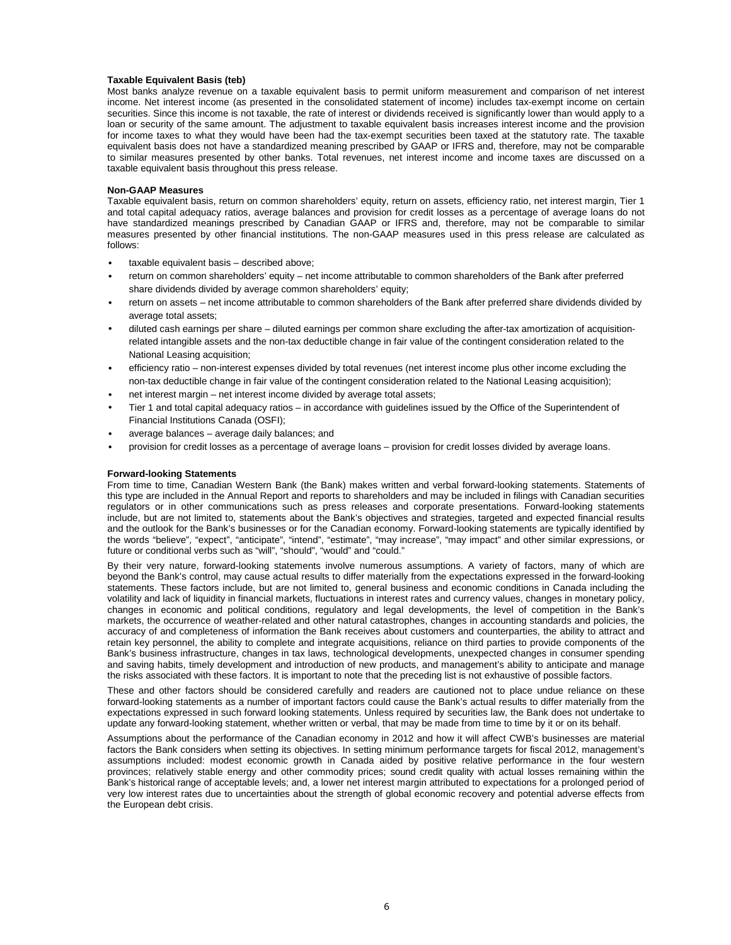#### **Taxable Equivalent Basis (teb)**

Most banks analyze revenue on a taxable equivalent basis to permit uniform measurement and comparison of net interest income. Net interest income (as presented in the consolidated statement of income) includes tax-exempt income on certain securities. Since this income is not taxable, the rate of interest or dividends received is significantly lower than would apply to a loan or security of the same amount. The adjustment to taxable equivalent basis increases interest income and the provision for income taxes to what they would have been had the tax-exempt securities been taxed at the statutory rate. The taxable equivalent basis does not have a standardized meaning prescribed by GAAP or IFRS and, therefore, may not be comparable to similar measures presented by other banks. Total revenues, net interest income and income taxes are discussed on a taxable equivalent basis throughout this press release.

#### **Non-GAAP Measures**

Taxable equivalent basis, return on common shareholders' equity, return on assets, efficiency ratio, net interest margin, Tier 1 and total capital adequacy ratios, average balances and provision for credit losses as a percentage of average loans do not have standardized meanings prescribed by Canadian GAAP or IFRS and, therefore, may not be comparable to similar measures presented by other financial institutions. The non-GAAP measures used in this press release are calculated as follows:

- taxable equivalent basis described above;
- return on common shareholders' equity net income attributable to common shareholders of the Bank after preferred share dividends divided by average common shareholders' equity;
- return on assets net income attributable to common shareholders of the Bank after preferred share dividends divided by average total assets;
- diluted cash earnings per share diluted earnings per common share excluding the after-tax amortization of acquisitionrelated intangible assets and the non-tax deductible change in fair value of the contingent consideration related to the National Leasing acquisition;
- efficiency ratio non-interest expenses divided by total revenues (net interest income plus other income excluding the non-tax deductible change in fair value of the contingent consideration related to the National Leasing acquisition); • net interest margin – net interest income divided by average total assets;
- Tier 1 and total capital adequacy ratios in accordance with guidelines issued by the Office of the Superintendent of Financial Institutions Canada (OSFI);
- average balances average daily balances; and
- provision for credit losses as a percentage of average loans provision for credit losses divided by average loans.

#### **Forward-looking Statements**

From time to time, Canadian Western Bank (the Bank) makes written and verbal forward-looking statements. Statements of this type are included in the Annual Report and reports to shareholders and may be included in filings with Canadian securities regulators or in other communications such as press releases and corporate presentations. Forward-looking statements include, but are not limited to, statements about the Bank's objectives and strategies, targeted and expected financial results and the outlook for the Bank's businesses or for the Canadian economy. Forward-looking statements are typically identified by the words "believe", "expect", "anticipate", "intend", "estimate", "may increase", "may impact" and other similar expressions, or future or conditional verbs such as "will", "should", "would" and "could."

By their very nature, forward-looking statements involve numerous assumptions. A variety of factors, many of which are beyond the Bank's control, may cause actual results to differ materially from the expectations expressed in the forward-looking statements. These factors include, but are not limited to, general business and economic conditions in Canada including the volatility and lack of liquidity in financial markets, fluctuations in interest rates and currency values, changes in monetary policy, changes in economic and political conditions, regulatory and legal developments, the level of competition in the Bank's markets, the occurrence of weather-related and other natural catastrophes, changes in accounting standards and policies, the accuracy of and completeness of information the Bank receives about customers and counterparties, the ability to attract and retain key personnel, the ability to complete and integrate acquisitions, reliance on third parties to provide components of the Bank's business infrastructure, changes in tax laws, technological developments, unexpected changes in consumer spending and saving habits, timely development and introduction of new products, and management's ability to anticipate and manage the risks associated with these factors. It is important to note that the preceding list is not exhaustive of possible factors.

These and other factors should be considered carefully and readers are cautioned not to place undue reliance on these forward-looking statements as a number of important factors could cause the Bank's actual results to differ materially from the expectations expressed in such forward looking statements. Unless required by securities law, the Bank does not undertake to update any forward-looking statement, whether written or verbal, that may be made from time to time by it or on its behalf.

Assumptions about the performance of the Canadian economy in 2012 and how it will affect CWB's businesses are material factors the Bank considers when setting its objectives. In setting minimum performance targets for fiscal 2012, management's assumptions included: modest economic growth in Canada aided by positive relative performance in the four western provinces; relatively stable energy and other commodity prices; sound credit quality with actual losses remaining within the Bank's historical range of acceptable levels; and, a lower net interest margin attributed to expectations for a prolonged period of very low interest rates due to uncertainties about the strength of global economic recovery and potential adverse effects from the European debt crisis.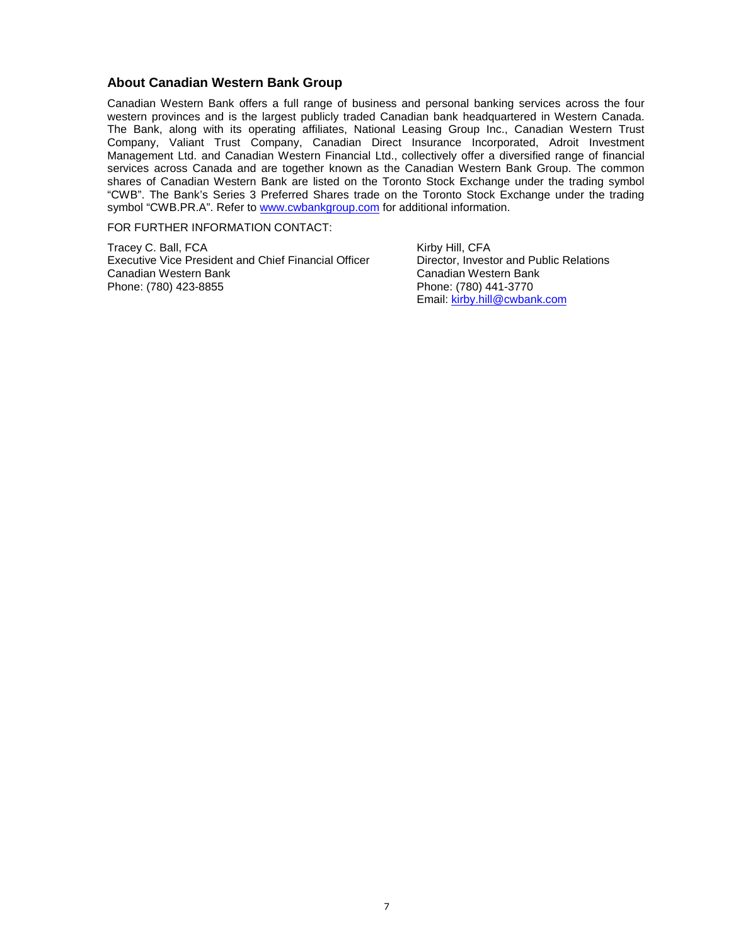### **About Canadian Western Bank Group**

Canadian Western Bank offers a full range of business and personal banking services across the four western provinces and is the largest publicly traded Canadian bank headquartered in Western Canada. The Bank, along with its operating affiliates, National Leasing Group Inc., Canadian Western Trust Company, Valiant Trust Company, Canadian Direct Insurance Incorporated, Adroit Investment Management Ltd. and Canadian Western Financial Ltd., collectively offer a diversified range of financial services across Canada and are together known as the Canadian Western Bank Group. The common shares of Canadian Western Bank are listed on the Toronto Stock Exchange under the trading symbol "CWB". The Bank's Series 3 Preferred Shares trade on the Toronto Stock Exchange under the trading symbol "CWB.PR.A". Refer to www.cwbankgroup.com for additional information.

FOR FURTHER INFORMATION CONTACT:

Tracey C. Ball, FCA Kirby Hill, CFA Executive Vice President and Chief Financial Officer Director, Investor and Public Relations Canadian Western Bank Canadian Western Bank Phone: (780) 423-8855 Phone: (780) 441-3770

Email: kirby.hill@cwbank.com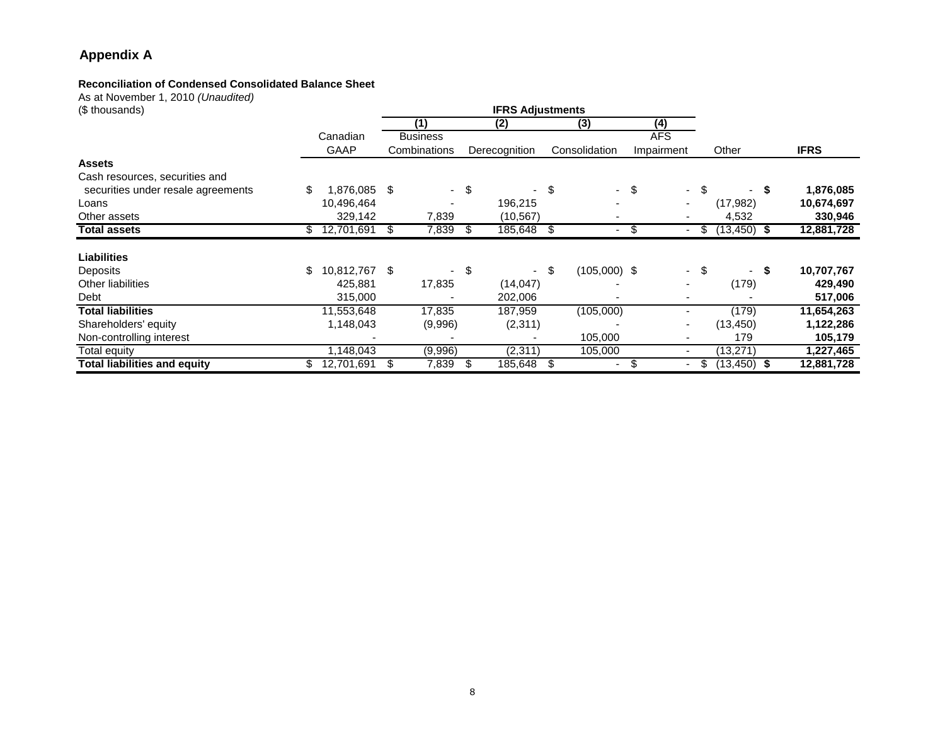# **Appendix A**

# **Reconciliation of Condensed Consolidated Balance Sheet**

As at November 1, 2010 *(Unaudited)*<br>(\$ thousands)

| $1.00$ at $1.001$ c.m. or $1.1$ and $1.001$ at $1.000$ at $1.000$<br>(\$ thousands) |                     |    |                 |      | <b>IFRS Adjustments</b> |                      |        |                          |      |                |             |
|-------------------------------------------------------------------------------------|---------------------|----|-----------------|------|-------------------------|----------------------|--------|--------------------------|------|----------------|-------------|
|                                                                                     |                     |    | (1)             |      | (2)                     | (3)                  |        | (4)                      |      |                |             |
|                                                                                     | Canadian            |    | <b>Business</b> |      |                         |                      |        | <b>AFS</b>               |      |                |             |
|                                                                                     | GAAP                |    | Combinations    |      | Derecognition           | Consolidation        |        | Impairment               |      | Other          | <b>IFRS</b> |
| <b>Assets</b>                                                                       |                     |    |                 |      |                         |                      |        |                          |      |                |             |
| Cash resources, securities and                                                      |                     |    |                 |      |                         |                      |        |                          |      |                |             |
| securities under resale agreements                                                  | \$<br>.876.085      | S  |                 | - \$ |                         | \$                   | $-$ \$ |                          | - \$ | - \$           | 1,876,085   |
| Loans                                                                               | 10,496,464          |    |                 |      | 196,215                 |                      |        |                          |      | (17, 982)      | 10,674,697  |
| Other assets                                                                        | 329,142             |    | 7,839           |      | (10, 567)               |                      |        |                          |      | 4,532          | 330,946     |
| <b>Total assets</b>                                                                 | \$<br>12,701,691    | \$ | 7,839           | S    | 185,648                 | \$<br>۰              | \$     | ٠                        | \$   | $(13, 450)$ \$ | 12,881,728  |
| <b>Liabilities</b>                                                                  |                     |    |                 |      |                         |                      |        |                          |      |                |             |
| <b>Deposits</b>                                                                     | \$<br>10,812,767 \$ |    |                 | S    |                         | \$<br>$(105,000)$ \$ |        |                          | - \$ | - S            | 10,707,767  |
| <b>Other liabilities</b>                                                            | 425,881             |    | 17,835          |      | (14, 047)               |                      |        |                          |      | (179)          | 429,490     |
| Debt                                                                                | 315,000             |    |                 |      | 202,006                 |                      |        |                          |      |                | 517,006     |
| <b>Total liabilities</b>                                                            | 11,553,648          |    | 17,835          |      | 187,959                 | (105,000)            |        |                          |      | (179)          | 11,654,263  |
| Shareholders' equity                                                                | 1,148,043           |    | (9,996)         |      | (2,311)                 |                      |        | $\overline{\phantom{a}}$ |      | (13, 450)      | 1,122,286   |
| Non-controlling interest                                                            |                     |    |                 |      |                         | 105,000              |        | $\overline{\phantom{a}}$ |      | 179            | 105,179     |
| <b>Total equity</b>                                                                 | 1,148,043           |    | (9,996)         |      | (2, 311)                | 105,000              |        | $\overline{\phantom{a}}$ |      | (13, 271)      | 1,227,465   |
| <b>Total liabilities and equity</b>                                                 | 12,701,691          | S  | 7,839           | \$.  | 185,648                 | \$                   |        |                          | S.   | $(13, 450)$ \$ | 12,881,728  |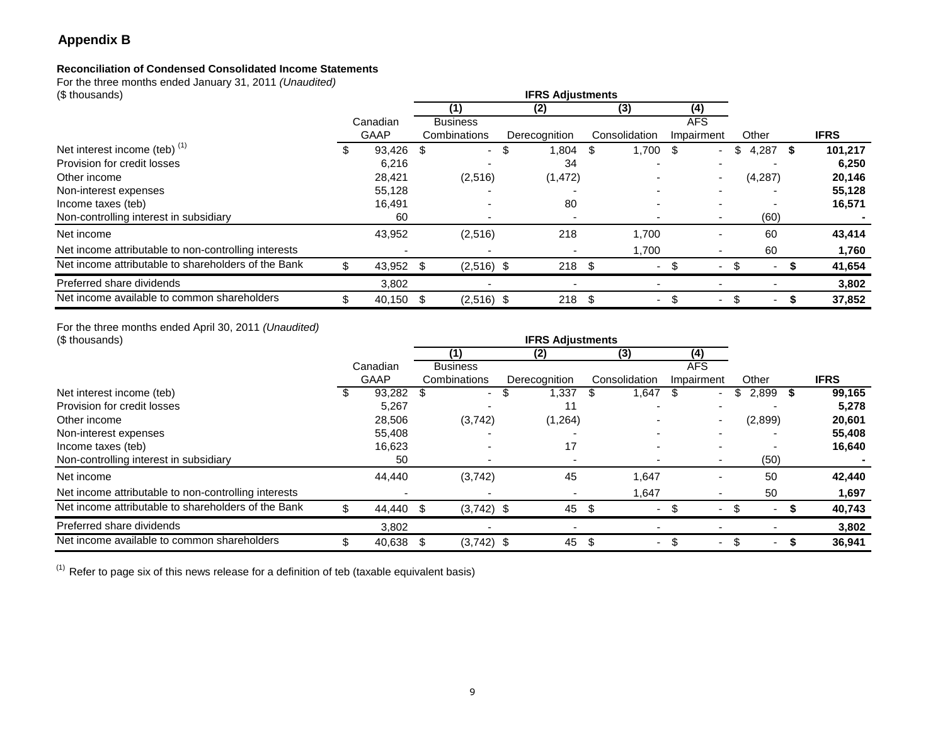# **Appendix B**

# **Reconciliation of Condensed Consolidated Income Statements**

For the three months ended January 31, 2011 *(Unaudited)*<br>(\$ thousands)

| $\frac{1}{2}$ and another conditions of the contract $\frac{1}{2}$ , $\frac{1}{2}$ , $\frac{1}{2}$ , $\frac{1}{2}$ , $\frac{1}{2}$ , $\frac{1}{2}$ , $\frac{1}{2}$<br>(\$ thousands) |    |             |      |              |     |               |      |                |   |            |     |         |    |             |  |                 |  |  |  |  |  |            |  |  |  |  |
|--------------------------------------------------------------------------------------------------------------------------------------------------------------------------------------|----|-------------|------|--------------|-----|---------------|------|----------------|---|------------|-----|---------|----|-------------|--|-----------------|--|--|--|--|--|------------|--|--|--|--|
|                                                                                                                                                                                      |    |             |      | (1)          |     | (2)           |      | (3)            |   | (4)        |     |         |    |             |  |                 |  |  |  |  |  |            |  |  |  |  |
|                                                                                                                                                                                      |    | Canadian    |      |              |     |               |      |                |   |            |     |         |    |             |  | <b>Business</b> |  |  |  |  |  | <b>AFS</b> |  |  |  |  |
|                                                                                                                                                                                      |    | <b>GAAP</b> |      | Combinations |     | Derecognition |      | Consolidation  |   | Impairment |     | Other   |    | <b>IFRS</b> |  |                 |  |  |  |  |  |            |  |  |  |  |
| Net interest income (teb) $(1)$                                                                                                                                                      | ъ  | 93,426      | - \$ | $\sim$       | \$. | 1,804         | \$.  | $1,700$ \$     |   | ۰.         | S   | 4,287   | -S | 101,217     |  |                 |  |  |  |  |  |            |  |  |  |  |
| Provision for credit losses                                                                                                                                                          |    | 6,216       |      |              |     | 34            |      |                |   |            |     |         |    | 6,250       |  |                 |  |  |  |  |  |            |  |  |  |  |
| Other income                                                                                                                                                                         |    | 28,421      |      | (2,516)      |     | (1, 472)      |      |                |   |            |     | (4,287) |    | 20,146      |  |                 |  |  |  |  |  |            |  |  |  |  |
| Non-interest expenses                                                                                                                                                                |    | 55,128      |      |              |     |               |      |                |   |            |     |         |    | 55,128      |  |                 |  |  |  |  |  |            |  |  |  |  |
| Income taxes (teb)                                                                                                                                                                   |    | 16,491      |      |              |     | 80            |      |                |   |            |     |         |    | 16,571      |  |                 |  |  |  |  |  |            |  |  |  |  |
| Non-controlling interest in subsidiary                                                                                                                                               |    | 60          |      |              |     |               |      |                |   |            |     | (60)    |    |             |  |                 |  |  |  |  |  |            |  |  |  |  |
| Net income                                                                                                                                                                           |    | 43,952      |      | (2,516)      |     | 218           |      | 1.700          |   |            |     | 60      |    | 43,414      |  |                 |  |  |  |  |  |            |  |  |  |  |
| Net income attributable to non-controlling interests                                                                                                                                 |    |             |      |              |     |               |      | 1,700          |   |            |     | 60      |    | 1,760       |  |                 |  |  |  |  |  |            |  |  |  |  |
| Net income attributable to shareholders of the Bank                                                                                                                                  | \$ | 43,952 \$   |      | $(2,516)$ \$ |     | 218           | - \$ | $\sim$         |   |            | \$. |         |    | 41,654      |  |                 |  |  |  |  |  |            |  |  |  |  |
| Preferred share dividends                                                                                                                                                            |    | 3,802       |      |              |     |               |      |                |   |            |     |         |    | 3,802       |  |                 |  |  |  |  |  |            |  |  |  |  |
| Net income available to common shareholders                                                                                                                                          |    | 40,150      | - \$ | $(2,516)$ \$ |     | $218$ \$      |      | $\blacksquare$ | S | ٠          | \$  |         |    | 37,852      |  |                 |  |  |  |  |  |            |  |  |  |  |

For the three months ended April 30, 2011 (Unaudited)

| (\$ thousands)                                       |  |             |                 |               |               |     |                          |   |         |             |
|------------------------------------------------------|--|-------------|-----------------|---------------|---------------|-----|--------------------------|---|---------|-------------|
|                                                      |  |             | (1)             | (2)           | (3)           |     | (4)                      |   |         |             |
|                                                      |  | Canadian    | <b>Business</b> |               |               |     | <b>AFS</b>               |   |         |             |
|                                                      |  | <b>GAAP</b> | Combinations    | Derecognition | Consolidation |     | Impairment               |   | Other   | <b>IFRS</b> |
| Net interest income (teb)                            |  | 93,282      |                 | 1,337         | 1,647         |     | ۰.                       | S | 2,899   | 99,165      |
| Provision for credit losses                          |  | 5,267       |                 |               |               |     |                          |   |         | 5,278       |
| Other income                                         |  | 28,506      | (3,742)         | (1,264)       |               |     |                          |   | (2,899) | 20,601      |
| Non-interest expenses                                |  | 55,408      |                 |               |               |     |                          |   |         | 55,408      |
| Income taxes (teb)                                   |  | 16,623      |                 | 17            |               |     |                          |   |         | 16,640      |
| Non-controlling interest in subsidiary               |  | 50          |                 |               |               |     |                          |   | (50)    |             |
| Net income                                           |  | 44,440      | (3,742)         | 45            | 1.647         |     |                          |   | 50      | 42,440      |
| Net income attributable to non-controlling interests |  |             |                 |               | 1,647         |     |                          |   | 50      | 1,697       |
| Net income attributable to shareholders of the Bank  |  | 44,440 \$   | $(3,742)$ \$    | 45            | \$<br>$\sim$  | \$. | $\overline{\phantom{0}}$ |   | ٠       | 40,743      |
| Preferred share dividends                            |  | 3,802       |                 |               |               |     |                          |   |         | 3,802       |
| Net income available to common shareholders          |  | 40,638 \$   | $(3,742)$ \$    | 45            | \$<br>$\sim$  | \$. |                          |   |         | 36,941      |

 $(1)$  Refer to page six of this news release for a definition of teb (taxable equivalent basis)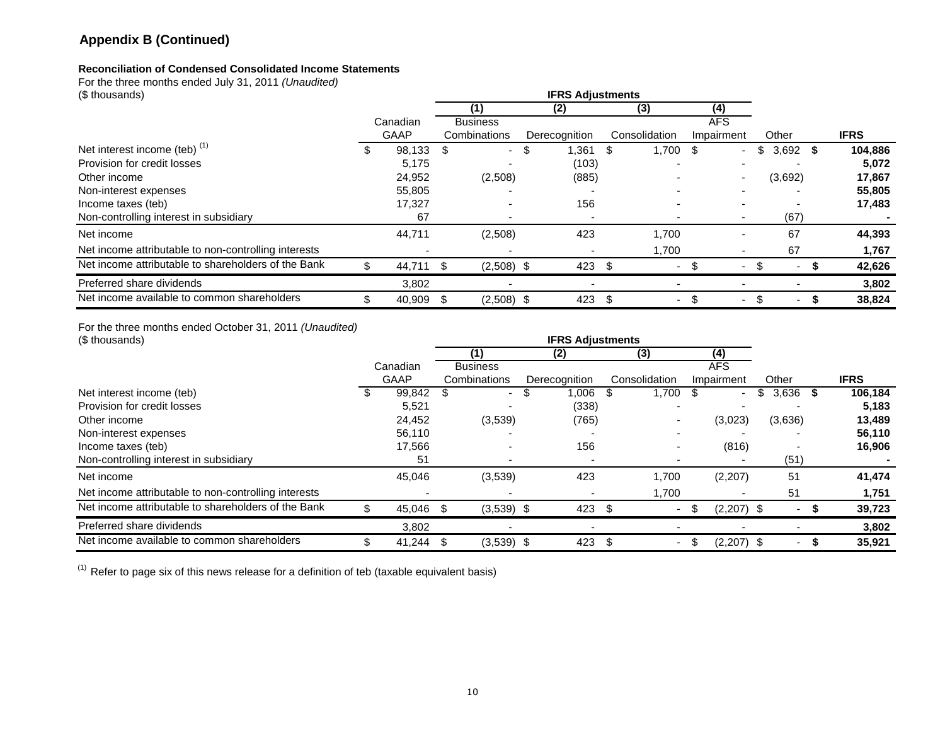# **Appendix B (Continued)**

## **Reconciliation of Condensed Consolidated Income Statements**

For the three months ended July 31, 2011 *(Unaudited)*<br>(\$ thousands)

| (\$ thousands)                                       |          |             |    |                 |      | <b>IFRS Adjustments</b> |      |               |      |            |     |         |      |             |
|------------------------------------------------------|----------|-------------|----|-----------------|------|-------------------------|------|---------------|------|------------|-----|---------|------|-------------|
|                                                      |          |             |    | (1)             |      | (2)                     |      | (3)           |      | (4)        |     |         |      |             |
|                                                      | Canadian |             |    | <b>Business</b> |      |                         |      |               |      | <b>AFS</b> |     |         |      |             |
|                                                      |          | <b>GAAP</b> |    | Combinations    |      | Derecognition           |      | Consolidation |      | Impairment |     | Other   |      | <b>IFRS</b> |
| Net interest income (teb) $(1)$                      | ъ        | 98,133      | -S | $\sim$          | - \$ | 1,361                   | \$   | 1,700         | - \$ | $\sim$     | S   | 3,692   | - \$ | 104,886     |
| Provision for credit losses                          |          | 5,175       |    |                 |      | (103)                   |      |               |      |            |     |         |      | 5,072       |
| Other income                                         |          | 24,952      |    | (2,508)         |      | (885)                   |      |               |      |            |     | (3,692) |      | 17,867      |
| Non-interest expenses                                |          | 55,805      |    |                 |      |                         |      |               |      |            |     |         |      | 55,805      |
| Income taxes (teb)                                   |          | 17,327      |    |                 |      | 156                     |      |               |      |            |     |         |      | 17,483      |
| Non-controlling interest in subsidiary               |          | 67          |    |                 |      |                         |      |               |      |            |     | (67)    |      |             |
| Net income                                           |          | 44,711      |    | (2,508)         |      | 423                     |      | 1,700         |      |            |     | 67      |      | 44,393      |
| Net income attributable to non-controlling interests |          |             |    |                 |      |                         |      | 1,700         |      |            |     | 67      |      | 1,767       |
| Net income attributable to shareholders of the Bank  | \$       | 44,711      | -S | $(2,508)$ \$    |      | 423                     |      |               |      |            |     |         |      | 42,626      |
| Preferred share dividends                            |          | 3,802       |    |                 |      |                         |      |               |      |            |     |         |      | 3,802       |
| Net income available to common shareholders          | \$       | 40,909      | -S | $(2,508)$ \$    |      | 423                     | - \$ | ۰.            |      | $\sim$     | \$. |         |      | 38,824      |

For the three months ended October 31, 2011 (Unaudited)

| (\$ thousands)                                       |             | <b>IFRS Adjustments</b> |                          |  |               |      |               |     |              |         |    |             |
|------------------------------------------------------|-------------|-------------------------|--------------------------|--|---------------|------|---------------|-----|--------------|---------|----|-------------|
|                                                      |             |                         | (1)                      |  | (2)           |      | (3)           |     | (4)          |         |    |             |
|                                                      | Canadian    |                         | <b>Business</b>          |  |               |      |               |     | <b>AFS</b>   |         |    |             |
|                                                      | <b>GAAP</b> |                         | Combinations             |  | Derecognition |      | Consolidation |     | Impairment   | Other   |    | <b>IFRS</b> |
| Net interest income (teb)                            | 99,842      | \$                      | $\sim$                   |  | 1,006         |      | 1,700         | \$. |              | 3,636   | S. | 106,184     |
| Provision for credit losses                          | 5,521       |                         |                          |  | (338)         |      |               |     |              |         |    | 5,183       |
| Other income                                         | 24,452      |                         | (3,539)                  |  | (765)         |      |               |     | (3,023)      | (3,636) |    | 13,489      |
| Non-interest expenses                                | 56,110      |                         |                          |  |               |      |               |     |              |         |    | 56,110      |
| Income taxes (teb)                                   | 17,566      |                         | $\overline{\phantom{0}}$ |  | 156           |      |               |     | (816)        |         |    | 16,906      |
| Non-controlling interest in subsidiary               | 51          |                         |                          |  |               |      |               |     |              | (51)    |    |             |
| Net income                                           | 45,046      |                         | (3,539)                  |  | 423           |      | 1.700         |     | (2,207)      | 51      |    | 41,474      |
| Net income attributable to non-controlling interests |             |                         |                          |  |               |      | 1,700         |     |              | 51      |    | 1,751       |
| Net income attributable to shareholders of the Bank  | 45,046 \$   |                         | $(3,539)$ \$             |  | 423           | - \$ |               | \$. | $(2,207)$ \$ |         |    | 39,723      |
| Preferred share dividends                            | 3,802       |                         |                          |  |               |      |               |     |              |         |    | 3,802       |
| Net income available to common shareholders          | 41,244      | - \$                    | $(3,539)$ \$             |  | 423           | - \$ |               | ъ   | $(2,207)$ \$ |         |    | 35,921      |

 $(1)$  Refer to page six of this news release for a definition of teb (taxable equivalent basis)